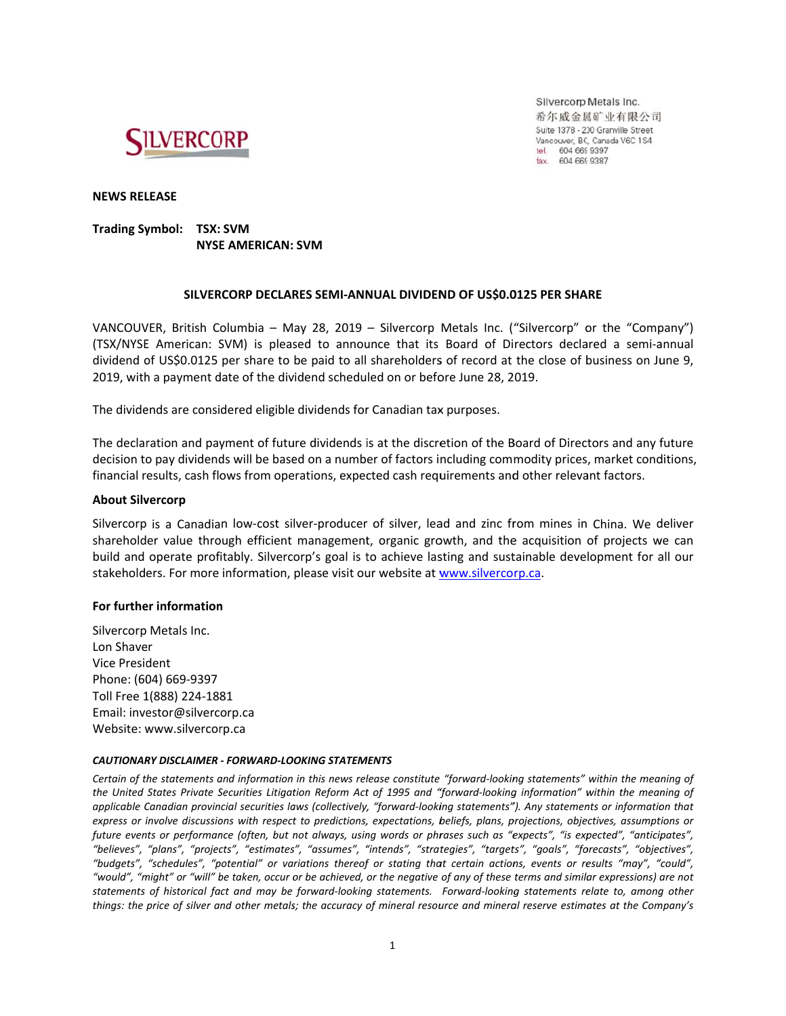

Silvercorp Metals Inc. 希尔威金属矿业有限公司 Suite 1378 - 200 Granville Street Vancouver, BC, Canada V6C 1S4 tel. 604 669 9397<br>fax. 604 669 9397

**NEWS RELEASE** 

# Trading Symbol: TSX: SVM **NYSE AMERICAN: SVM**

# SILVERCORP DECLARES SEMI-ANNUAL DIVIDEND OF US\$0.0125 PER SHARE

VANCOUVER, British Columbia - May 28, 2019 - Silvercorp Metals Inc. ("Silvercorp" or the "Company") (TSX/NYSE American: SVM) is pleased to announce that its Board of Directors declared a semi-annual dividend of US\$0.0125 per share to be paid to all shareholders of record at the close of business on June 9, 2019, with a payment date of the dividend scheduled on or before June 28, 2019.

The dividends are considered eligible dividends for Canadian tax purposes.

The declaration and payment of future dividends is at the discretion of the Board of Directors and any future decision to pay dividends will be based on a number of factors including commodity prices, market conditions, financial results, cash flows from operations, expected cash requirements and other relevant factors.

## **About Silvercorp**

Silvercorp is a Canadian low-cost silver-producer of silver, lead and zinc from mines in China. We deliver shareholder value through efficient management, organic growth, and the acquisition of projects we can build and operate profitably. Silvercorp's goal is to achieve lasting and sustainable development for all our stakeholders. For more information, please visit our website at www.silvercorp.ca.

### For further information

Silvercorp Metals Inc. Lon Shaver **Vice President** Phone: (604) 669-9397 Toll Free 1(888) 224-1881 Email: investor@silvercorp.ca Website: www.silvercorp.ca

#### CAUTIONARY DISCLAIMER - FORWARD-LOOKING STATEMENTS

Certain of the statements and information in this news release constitute "forward-looking statements" within the meaning of the United States Private Securities Litigation Reform Act of 1995 and "forward-looking information" within the meaning of applicable Canadian provincial securities laws (collectively, "forward-looking statements"). Any statements or information that express or involve discussions with respect to predictions, expectations, beliefs, plans, projections, objectives, assumptions or future events or performance (often, but not always, using words or phrases such as "expects", "is expected", "anticipates", "believes", "plans", "projects", "estimates", "assumes", "intends", "strategies", "targets", "goals", "forecasts", "objectives", "budgets", "schedules", "potential" or variations thereof or stating that certain actions, events or results "may", "could", "would". "might" or "will" be taken, occur or be achieved, or the negative of any of these terms and similar expressions) are not statements of historical fact and may be forward-looking statements. Forward-looking statements relate to, among other things: the price of silver and other metals; the accuracy of mineral resource and mineral reserve estimates at the Company's